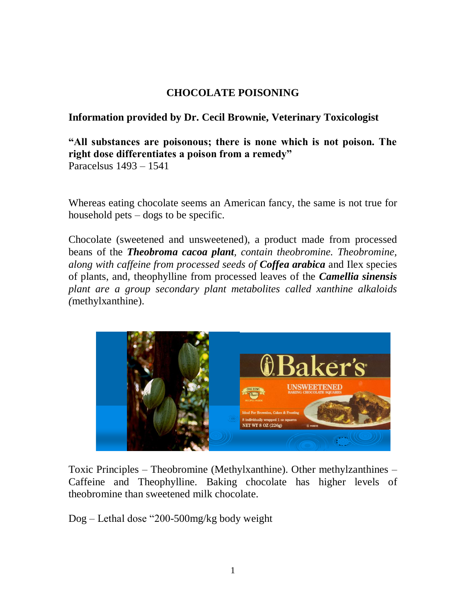## **CHOCOLATE POISONING**

## **Information provided by Dr. Cecil Brownie, Veterinary Toxicologist**

**"All substances are poisonous; there is none which is not poison. The right dose differentiates a poison from a remedy"**

Paracelsus 1493 – 1541

Whereas eating chocolate seems an American fancy, the same is not true for household pets – dogs to be specific.

Chocolate (sweetened and unsweetened), a product made from processed beans of the *Theobroma cacoa plant, contain theobromine. Theobromine, along with caffeine from processed seeds of Coffea arabica* and Ilex species of plants, and, theophylline from processed leaves of the *Camellia sinensis plant are a group secondary plant metabolites called xanthine alkaloids (*methylxanthine).



Toxic Principles – Theobromine (Methylxanthine). Other methylzanthines – Caffeine and Theophylline. Baking chocolate has higher levels of theobromine than sweetened milk chocolate.

Dog – Lethal dose "200-500mg/kg body weight